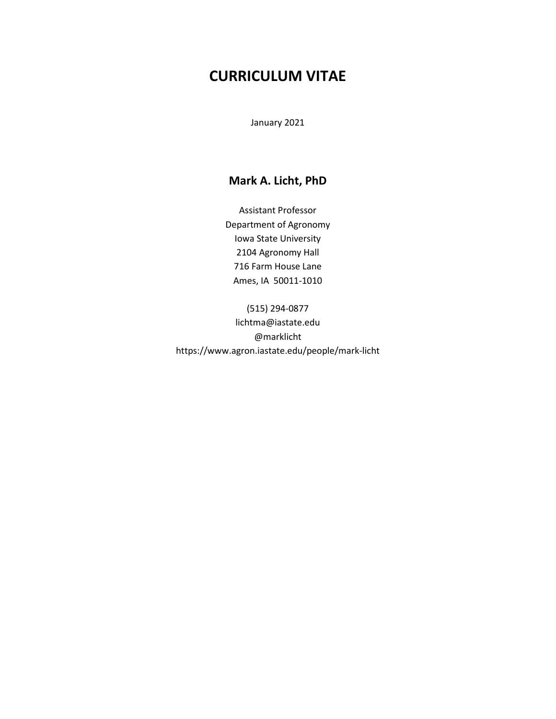# **CURRICULUM VITAE**

January 2021

## **Mark A. Licht, PhD**

Assistant Professor Department of Agronomy Iowa State University 2104 Agronomy Hall 716 Farm House Lane Ames, IA 50011-1010

(515) 294-0877 lichtma@iastate.edu @marklicht https://www.agron.iastate.edu/people/mark-licht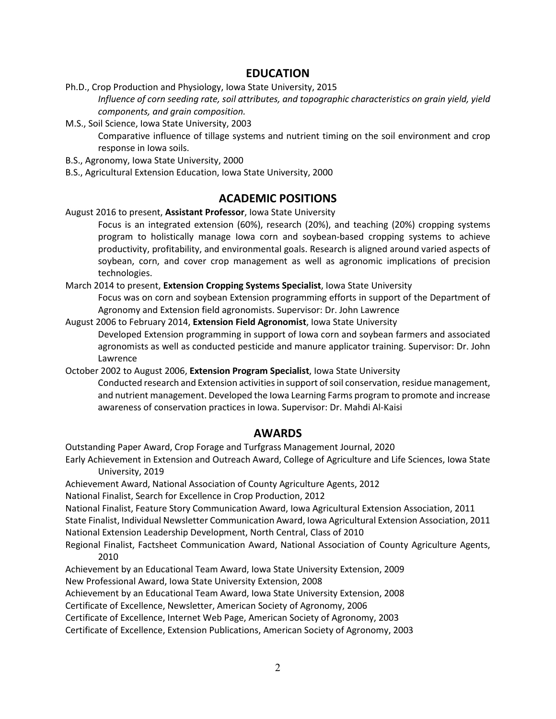### **EDUCATION**

- Ph.D., Crop Production and Physiology, Iowa State University, 2015 *Influence of corn seeding rate, soil attributes, and topographic characteristics on grain yield, yield components, and grain composition.*
- M.S., Soil Science, Iowa State University, 2003

Comparative influence of tillage systems and nutrient timing on the soil environment and crop response in Iowa soils.

- B.S., Agronomy, Iowa State University, 2000
- B.S., Agricultural Extension Education, Iowa State University, 2000

### **ACADEMIC POSITIONS**

August 2016 to present, **Assistant Professor**, Iowa State University

Focus is an integrated extension (60%), research (20%), and teaching (20%) cropping systems program to holistically manage Iowa corn and soybean-based cropping systems to achieve productivity, profitability, and environmental goals. Research is aligned around varied aspects of soybean, corn, and cover crop management as well as agronomic implications of precision technologies.

March 2014 to present, **Extension Cropping Systems Specialist**, Iowa State University

Focus was on corn and soybean Extension programming efforts in support of the Department of Agronomy and Extension field agronomists. Supervisor: Dr. John Lawrence

August 2006 to February 2014, **Extension Field Agronomist**, Iowa State University Developed Extension programming in support of Iowa corn and soybean farmers and associated agronomists as well as conducted pesticide and manure applicator training. Supervisor: Dr. John Lawrence

October 2002 to August 2006, **Extension Program Specialist**, Iowa State University

Conducted research and Extension activities in support of soil conservation, residue management, and nutrient management. Developed the Iowa Learning Farms program to promote and increase awareness of conservation practices in Iowa. Supervisor: Dr. Mahdi Al-Kaisi

### **AWARDS**

Outstanding Paper Award, Crop Forage and Turfgrass Management Journal, 2020

Early Achievement in Extension and Outreach Award, College of Agriculture and Life Sciences, Iowa State University, 2019

Achievement Award, National Association of County Agriculture Agents, 2012

National Finalist, Search for Excellence in Crop Production, 2012

National Finalist, Feature Story Communication Award, Iowa Agricultural Extension Association, 2011

State Finalist, Individual Newsletter Communication Award, Iowa Agricultural Extension Association, 2011 National Extension Leadership Development, North Central, Class of 2010

Regional Finalist, Factsheet Communication Award, National Association of County Agriculture Agents, 2010

Achievement by an Educational Team Award, Iowa State University Extension, 2009 New Professional Award, Iowa State University Extension, 2008

Achievement by an Educational Team Award, Iowa State University Extension, 2008

Certificate of Excellence, Newsletter, American Society of Agronomy, 2006

Certificate of Excellence, Internet Web Page, American Society of Agronomy, 2003

Certificate of Excellence, Extension Publications, American Society of Agronomy, 2003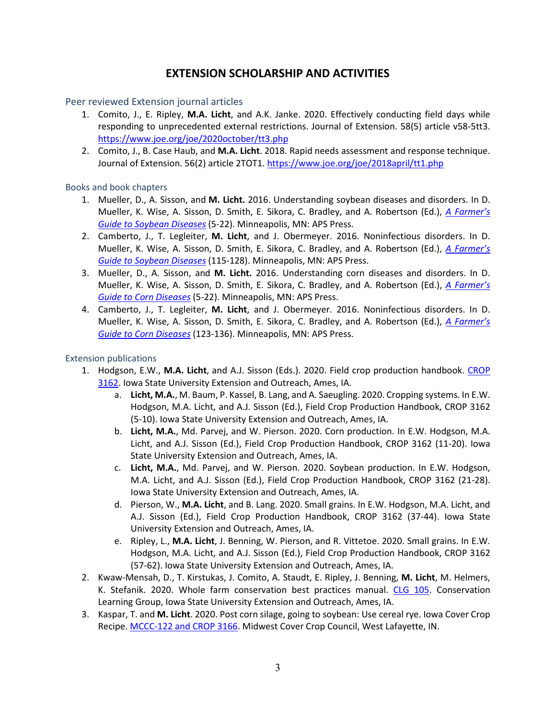## **EXTENSION SCHOLARSHIP AND ACTIVITIES**

Peer reviewed Extension journal articles

- 1. Comito, J., E. Ripley, **M.A. Licht**, and A.K. Janke. 2020. Effectively conducting field days while responding to unprecedented external restrictions. Journal of Extension. 58(5) article v58-5tt3. <https://www.joe.org/joe/2020october/tt3.php>
- 2. Comito, J., B. Case Haub, and **M.A. Licht**. 2018. Rapid needs assessment and response technique. Journal of Extension. 56(2) article 2TOT1.<https://www.joe.org/joe/2018april/tt1.php>

Books and book chapters

- 1. Mueller, D., A. Sisson, and **M. Licht.** 2016. Understanding soybean diseases and disorders. In D. Mueller, K. Wise, A. Sisson, D. Smith, E. Sikora, C. Bradley, and A. Robertson (Ed.), *[A Farmer's](https://store.extension.iastate.edu/product/14601)  [Guide to Soybean Diseases](https://store.extension.iastate.edu/product/14601)* (5-22). Minneapolis, MN: APS Press.
- 2. Camberto, J., T. Legleiter, **M. Licht**, and J. Obermeyer. 2016. Noninfectious disorders. In D. Mueller, K. Wise, A. Sisson, D. Smith, E. Sikora, C. Bradley, and A. Robertson (Ed.), *[A Farmer's](https://store.extension.iastate.edu/product/14601)  [Guide to Soybean Diseases](https://store.extension.iastate.edu/product/14601)* (115-128). Minneapolis, MN: APS Press.
- 3. Mueller, D., A. Sisson, and **M. Licht.** 2016. Understanding corn diseases and disorders. In D. Mueller, K. Wise, A. Sisson, D. Smith, E. Sikora, C. Bradley, and A. Robertson (Ed.), *[A Farmer's](https://store.extension.iastate.edu/product/14600)  [Guide to Corn Diseases](https://store.extension.iastate.edu/product/14600)* (5-22). Minneapolis, MN: APS Press.
- 4. Camberto, J., T. Legleiter, **M. Licht**, and J. Obermeyer. 2016. Noninfectious disorders. In D. Mueller, K. Wise, A. Sisson, D. Smith, E. Sikora, C. Bradley, and A. Robertson (Ed.), *[A Farmer's](https://store.extension.iastate.edu/product/14600)  [Guide to Corn Diseases](https://store.extension.iastate.edu/product/14600)* (123-136). Minneapolis, MN: APS Press.

Extension publications

- 1. Hodgson, E.W., **M.A. Licht**, and A.J. Sisson (Eds.). 2020. Field crop production handbook. [CROP](https://store.extension.iastate.edu/product/15968)  [3162.](https://store.extension.iastate.edu/product/15968) Iowa State University Extension and Outreach, Ames, IA.
	- a. **Licht, M.A.**, M. Baum, P. Kassel, B. Lang, and A. Saeugling. 2020. Cropping systems. In E.W. Hodgson, M.A. Licht, and A.J. Sisson (Ed.), Field Crop Production Handbook, CROP 3162 (5-10). Iowa State University Extension and Outreach, Ames, IA.
	- b. **Licht, M.A.**, Md. Parvej, and W. Pierson. 2020. Corn production. In E.W. Hodgson, M.A. Licht, and A.J. Sisson (Ed.), Field Crop Production Handbook, CROP 3162 (11-20). Iowa State University Extension and Outreach, Ames, IA.
	- c. **Licht, M.A.**, Md. Parvej, and W. Pierson. 2020. Soybean production. In E.W. Hodgson, M.A. Licht, and A.J. Sisson (Ed.), Field Crop Production Handbook, CROP 3162 (21-28). Iowa State University Extension and Outreach, Ames, IA.
	- d. Pierson, W., **M.A. Licht**, and B. Lang. 2020. Small grains. In E.W. Hodgson, M.A. Licht, and A.J. Sisson (Ed.), Field Crop Production Handbook, CROP 3162 (37-44). Iowa State University Extension and Outreach, Ames, IA.
	- e. Ripley, L., **M.A. Licht**, J. Benning, W. Pierson, and R. Vittetoe. 2020. Small grains. In E.W. Hodgson, M.A. Licht, and A.J. Sisson (Ed.), Field Crop Production Handbook, CROP 3162 (57-62). Iowa State University Extension and Outreach, Ames, IA.
- 2. Kwaw-Mensah, D., T. Kirstukas, J. Comito, A. Staudt, E. Ripley, J. Benning, **M. Licht**, M. Helmers, K. Stefanik. 2020. Whole farm conservation best practices manual. [CLG 105.](https://store.extension.iastate.edu/product/15823) Conservation Learning Group, Iowa State University Extension and Outreach, Ames, IA.
- 3. Kaspar, T. and **M. Licht**. 2020. Post corn silage, going to soybean: Use cereal rye. Iowa Cover Crop Recipe. [MCCC-122 and CROP 3166.](https://store.extension.iastate.edu/product/15820) Midwest Cover Crop Council, West Lafayette, IN.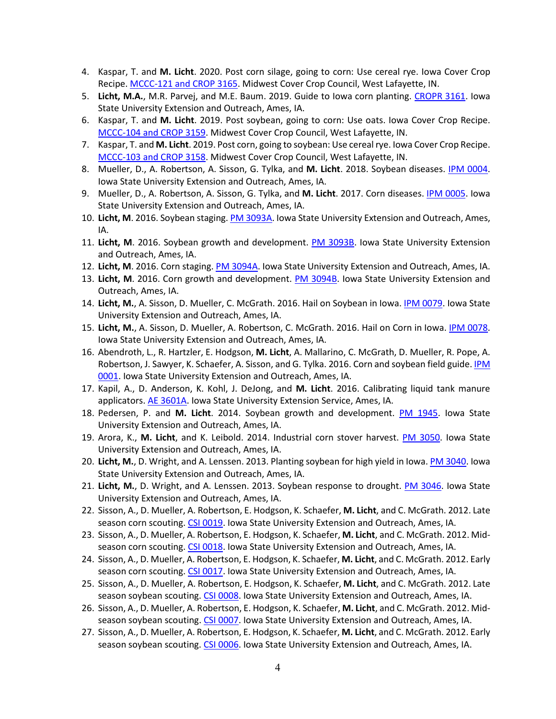- 4. Kaspar, T. and **M. Licht**. 2020. Post corn silage, going to corn: Use cereal rye. Iowa Cover Crop Recipe. [MCCC-121 and CROP 3165.](https://store.extension.iastate.edu/product/15819) Midwest Cover Crop Council, West Lafayette, IN.
- 5. **Licht, M.A.**, M.R. Parvej, and M.E. Baum. 2019. Guide to Iowa corn planting. [CROPR 3161.](https://store.extension.iastate.edu/product/5475) Iowa State University Extension and Outreach, Ames, IA.
- 6. Kaspar, T. and **M. Licht**. 2019. Post soybean, going to corn: Use oats. Iowa Cover Crop Recipe. [MCCC-104 and CROP 3159.](https://store.extension.iastate.edu/product/15549) Midwest Cover Crop Council, West Lafayette, IN.
- 7. Kaspar, T. and **M. Licht**. 2019. Post corn, going to soybean: Use cereal rye. Iowa Cover Crop Recipe. [MCCC-103 and CROP 3158.](https://store.extension.iastate.edu/product/15548) Midwest Cover Crop Council, West Lafayette, IN.
- 8. Mueller, D., A. Robertson, A. Sisson, G. Tylka, and **M. Licht**. 2018. Soybean diseases. [IPM 0004.](https://store.extension.iastate.edu/product/2940) Iowa State University Extension and Outreach, Ames, IA.
- 9. Mueller, D., A. Robertson, A. Sisson, G. Tylka, and **M. Licht**. 2017. Corn diseases. [IPM 0005.](https://store.extension.iastate.edu/product/3975) Iowa State University Extension and Outreach, Ames, IA.
- 10. **Licht, M**. 2016. Soybean staging[. PM 3093A.](https://store.extension.iastate.edu/product/14827) Iowa State University Extension and Outreach, Ames, IA.
- 11. **Licht, M**. 2016. Soybean growth and development. [PM 3093B.](https://store.extension.iastate.edu/product/14852) Iowa State University Extension and Outreach, Ames, IA.
- 12. **Licht, M**. 2016. Corn staging. [PM 3094A.](https://store.extension.iastate.edu/product/14828) Iowa State University Extension and Outreach, Ames, IA.
- 13. **Licht, M**. 2016. Corn growth and development. [PM 3094B.](https://store.extension.iastate.edu/product/14853) Iowa State University Extension and Outreach, Ames, IA.
- 14. **Licht, M.**, A. Sisson, D. Mueller, C. McGrath. 2016. Hail on Soybean in Iowa. [IPM 0079.](https://store.extension.iastate.edu/product/14792) Iowa State University Extension and Outreach, Ames, IA.
- 15. **Licht, M.**, A. Sisson, D. Mueller, A. Robertson, C. McGrath. 2016. Hail on Corn in Iowa. [IPM 0078.](https://store.extension.iastate.edu/product/14776) Iowa State University Extension and Outreach, Ames, IA.
- 16. Abendroth, L., R. Hartzler, E. Hodgson, **M. Licht**, A. Mallarino, C. McGrath, D. Mueller, R. Pope, A. Robertson, J. Sawyer, K. Schaefer, A. Sisson, and G. Tylka. 2016. Corn and soybean field guide[. IPM](https://store.extension.iastate.edu/product/14743)  [0001.](https://store.extension.iastate.edu/product/14743) Iowa State University Extension and Outreach, Ames, IA.
- 17. Kapil, A., D. Anderson, K. Kohl, J. DeJong, and **M. Licht**. 2016. Calibrating liquid tank manure applicators[. AE 3601A.](https://store.extension.iastate.edu/product/6499) Iowa State University Extension Service, Ames, IA.
- 18. Pedersen, P. and **M. Licht**. 2014. Soybean growth and development. [PM 1945.](https://store.extension.iastate.edu/product/6451) Iowa State University Extension and Outreach, Ames, IA.
- 19. Arora, K., **M. Licht**, and K. Leibold. 2014. Industrial corn stover harvest. [PM 3050.](https://store.extension.iastate.edu/product/14073) Iowa State University Extension and Outreach, Ames, IA.
- 20. **Licht, M.**, D. Wright, and A. Lenssen. 2013. Planting soybean for high yield in Iowa[. PM 3040.](https://store.extension.iastate.edu/product/13949) Iowa State University Extension and Outreach, Ames, IA.
- 21. **Licht, M.**, D. Wright, and A. Lenssen. 2013. Soybean response to drought. [PM 3046.](https://store.extension.iastate.edu/product/13955) Iowa State University Extension and Outreach, Ames, IA.
- 22. Sisson, A., D. Mueller, A. Robertson, E. Hodgson, K. Schaefer, **M. Licht**, and C. McGrath. 2012. Late season corn scouting. [CSI 0019.](https://store.extension.iastate.edu/product/13888) Iowa State University Extension and Outreach, Ames, IA.
- 23. Sisson, A., D. Mueller, A. Robertson, E. Hodgson, K. Schaefer, **M. Licht**, and C. McGrath. 2012. Mid-season corn scouting. [CSI 0018.](https://store.extension.iastate.edu/product/13887) Iowa State University Extension and Outreach, Ames, IA.
- 24. Sisson, A., D. Mueller, A. Robertson, E. Hodgson, K. Schaefer, **M. Licht**, and C. McGrath. 2012. Early season corn scouting. [CSI 0017.](https://store.extension.iastate.edu/product/13886) Iowa State University Extension and Outreach, Ames, IA.
- 25. Sisson, A., D. Mueller, A. Robertson, E. Hodgson, K. Schaefer, **M. Licht**, and C. McGrath. 2012. Late season soybean scouting. [CSI 0008.](https://store.extension.iastate.edu/product/13885) Iowa State University Extension and Outreach, Ames, IA.
- 26. Sisson, A., D. Mueller, A. Robertson, E. Hodgson, K. Schaefer, **M. Licht**, and C. McGrath. 2012. Midseason soybean scouting. [CSI 0007.](https://store.extension.iastate.edu/product/13884) Iowa State University Extension and Outreach, Ames, IA.
- 27. Sisson, A., D. Mueller, A. Robertson, E. Hodgson, K. Schaefer, **M. Licht**, and C. McGrath. 2012. Early season soybean scouting. [CSI 0006.](https://store.extension.iastate.edu/product/13467) Iowa State University Extension and Outreach, Ames, IA.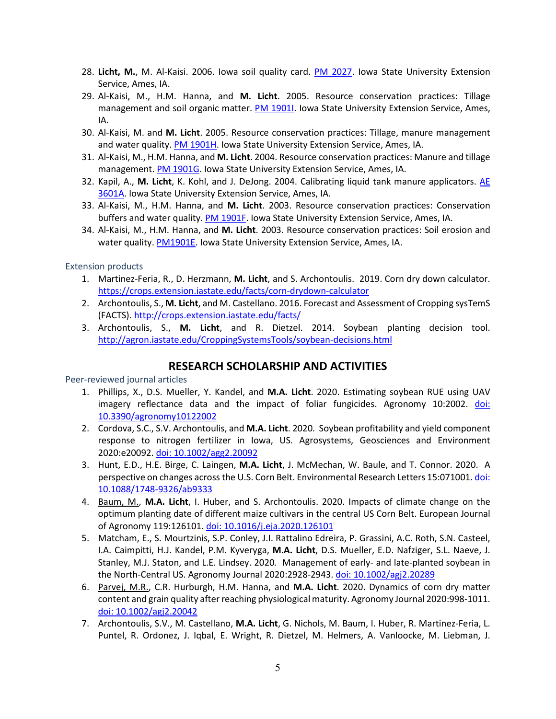- 28. **Licht, M.**, M. Al-Kaisi. 2006. Iowa soil quality card. [PM 2027.](https://store.extension.iastate.edu/product/12286) Iowa State University Extension Service, Ames, IA.
- 29. Al-Kaisi, M., H.M. Hanna, and **M. Licht**. 2005. Resource conservation practices: Tillage management and soil organic matter. [PM 1901I.](https://store.extension.iastate.edu/product/12005) Iowa State University Extension Service, Ames, IA.
- 30. Al-Kaisi, M. and **M. Licht**. 2005. Resource conservation practices: Tillage, manure management and water quality[. PM 1901H.](https://store.extension.iastate.edu/product/12004) Iowa State University Extension Service, Ames, IA.
- 31. Al-Kaisi, M., H.M. Hanna, and **M. Licht**. 2004. Resource conservation practices: Manure and tillage management[. PM 1901G.](https://store.extension.iastate.edu/product/6591) Iowa State University Extension Service, Ames, IA.
- 32. Kapil, A., **M. Licht**, K. Kohl, and J. DeJong. 2004. Calibrating liquid tank manure applicators. [AE](https://store.extension.iastate.edu/product/6499)  [3601A.](https://store.extension.iastate.edu/product/6499) Iowa State University Extension Service, Ames, IA.
- 33. Al-Kaisi, M., H.M. Hanna, and **M. Licht**. 2003. Resource conservation practices: Conservation buffers and water quality. [PM 1901F.](https://store.extension.iastate.edu/product/5502) Iowa State University Extension Service, Ames, IA.
- 34. Al-Kaisi, M., H.M. Hanna, and **M. Licht**. 2003. Resource conservation practices: Soil erosion and water quality[. PM1901E.](https://store.extension.iastate.edu/product/5501) Iowa State University Extension Service, Ames, IA.

Extension products

- 1. Martinez-Feria, R., D. Herzmann, **M. Licht**, and S. Archontoulis. 2019. Corn dry down calculator. <https://crops.extension.iastate.edu/facts/corn-drydown-calculator>
- 2. Archontoulis, S., **M. Licht**, and M. Castellano. 2016. Forecast and Assessment of Cropping sysTemS (FACTS). <http://crops.extension.iastate.edu/facts/>
- 3. Archontoulis, S., **M. Licht**, and R. Dietzel. 2014. Soybean planting decision tool. <http://agron.iastate.edu/CroppingSystemsTools/soybean-decisions.html>

### **RESEARCH SCHOLARSHIP AND ACTIVITIES**

Peer-reviewed journal articles

- 1. Phillips, X., D.S. Mueller, Y. Kandel, and **M.A. Licht**. 2020. Estimating soybean RUE using UAV imagery reflectance data and the impact of foliar fungicides. Agronomy 10:2002. [doi:](https://doi.org/10.3390/agronomy10122002) [10.3390/agronomy10122002](https://doi.org/10.3390/agronomy10122002)
- 2. Cordova, S.C., S.V. Archontoulis, and **M.A. Licht**. 2020*.* Soybean profitability and yield component response to nitrogen fertilizer in Iowa, US. Agrosystems, Geosciences and Environment 2020:e20092. [doi: 10.1002/agg2.20092](https://doi.org/10.1002/agg2.20092)
- 3. Hunt, E.D., H.E. Birge, C. Laingen, **M.A. Licht**, J. McMechan, W. Baule, and T. Connor. 2020. A perspective on changes across the U.S. Corn Belt. Environmental Research Letters 15:071001. doi: [10.1088/1748-9326/ab9333](https://doi.org/10.1088/1748-9326/ab9333)
- 4. Baum, M., **M.A. Licht**, I. Huber, and S. Archontoulis. 2020. Impacts of climate change on the optimum planting date of different maize cultivars in the central US Corn Belt. European Journal of Agronomy 119:126101. [doi: 10.1016/j.eja.2020.126101](https://doi.org/10.1016/j.eja.2020.126101)
- 5. Matcham, E., S. Mourtzinis, S.P. Conley, J.I. Rattalino Edreira, P. Grassini, A.C. Roth, S.N. Casteel, I.A. Caimpitti, H.J. Kandel, P.M. Kyveryga, **M.A. Licht**, D.S. Mueller, E.D. Nafziger, S.L. Naeve, J. Stanley, M.J. Staton, and L.E. Lindsey. 2020*.* Management of early- and late-planted soybean in the North-Central US. Agronomy Journal 2020:2928-2943. [doi: 10.1002/agj2.20289](https://doi.org/10.1002/agj2.20289)
- 6. Parvej, M.R., C.R. Hurburgh, H.M. Hanna, and **M.A. Licht**. 2020. Dynamics of corn dry matter content and grain quality after reaching physiological maturity. Agronomy Journal 2020:998-1011. [doi: 10.1002/agj2.20042](https://doi.org/10.1002/agj2.20042)
- 7. Archontoulis, S.V., M. Castellano, **M.A. Licht**, G. Nichols, M. Baum, I. Huber, R. Martinez-Feria, L. Puntel, R. Ordonez, J. Iqbal, E. Wright, R. Dietzel, M. Helmers, A. Vanloocke, M. Liebman, J.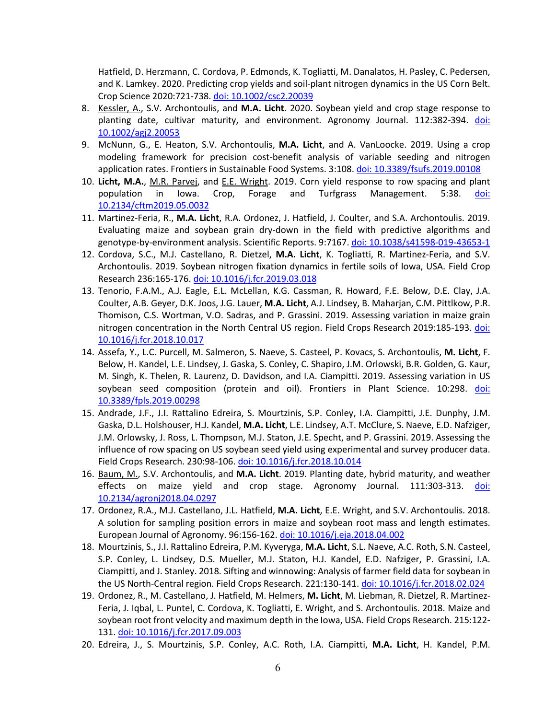Hatfield, D. Herzmann, C. Cordova, P. Edmonds, K. Togliatti, M. Danalatos, H. Pasley, C. Pedersen, and K. Lamkey. 2020. Predicting crop yields and soil-plant nitrogen dynamics in the US Corn Belt. Crop Science 2020:721-738. [doi: 10.1002/csc2.20039](https://doi.org/10.1002/csc2.20039)

- 8. Kessler, A., S.V. Archontoulis, and **M.A. Licht**. 2020. Soybean yield and crop stage response to planting date, cultivar maturity, and environment. Agronomy Journal. 112:382-394. [doi:](https://doi.org/10.1002/agj2.20053)  [10.1002/agj2.20053](https://doi.org/10.1002/agj2.20053)
- 9. McNunn, G., E. Heaton, S.V. Archontoulis, **M.A. Licht**, and A. VanLoocke. 2019. Using a crop modeling framework for precision cost-benefit analysis of variable seeding and nitrogen application rates. Frontiers in Sustainable Food Systems. 3:108[. doi: 10.3389/fsufs.2019.00108](https://doi.org/10.3389/fsufs.2019.00108)
- 10. **Licht, M.A.**, M.R. Parvej, and E.E. Wright. 2019. Corn yield response to row spacing and plant population in Iowa. Crop, Forage and Turfgrass Management. 5:38. [doi:](https://doi.org/10.2134/cftm2019.05.0032)  [10.2134/cftm2019.05.0032](https://doi.org/10.2134/cftm2019.05.0032)
- 11. Martinez-Feria, R., **M.A. Licht**, R.A. Ordonez, J. Hatfield, J. Coulter, and S.A. Archontoulis. 2019. Evaluating maize and soybean grain dry-down in the field with predictive algorithms and genotype-by-environment analysis. Scientific Reports. 9:7167. [doi: 10.1038/s41598-019-43653-1](https://doi.org/10.1038/s41598-019-43653-1)
- 12. Cordova, S.C., M.J. Castellano, R. Dietzel, **M.A. Licht**, K. Togliatti, R. Martinez-Feria, and S.V. Archontoulis. 2019. Soybean nitrogen fixation dynamics in fertile soils of Iowa, USA. Field Crop Research 236:165-176. [doi: 10.1016/j.fcr.2019.03.018](https://doi.org/10.1016/j.fcr.2019.03.018)
- 13. Tenorio, F.A.M., A.J. Eagle, E.L. McLellan, K.G. Cassman, R. Howard, F.E. Below, D.E. Clay, J.A. Coulter, A.B. Geyer, D.K. Joos, J.G. Lauer, **M.A. Licht**, A.J. Lindsey, B. Maharjan, C.M. Pittlkow, P.R. Thomison, C.S. Wortman, V.O. Sadras, and P. Grassini. 2019. Assessing variation in maize grain nitrogen concentration in the North Central US region. Field Crops Research 2019:185-193. [doi:](https://doi.org/10.1016/j.fcr.2018.10.017)  [10.1016/j.fcr.2018.10.017](https://doi.org/10.1016/j.fcr.2018.10.017)
- 14. Assefa, Y., L.C. Purcell, M. Salmeron, S. Naeve, S. Casteel, P. Kovacs, S. Archontoulis, **M. Licht**, F. Below, H. Kandel, L.E. Lindsey, J. Gaska, S. Conley, C. Shapiro, J.M. Orlowski, B.R. Golden, G. Kaur, M. Singh, K. Thelen, R. Laurenz, D. Davidson, and I.A. Ciampitti. 2019. Assessing variation in US soybean seed composition (protein and oil). Frontiers in Plant Science. 10:298. [doi:](https://doi.org/10.3389/fpls.2019.00298)  [10.3389/fpls.2019.00298](https://doi.org/10.3389/fpls.2019.00298)
- 15. Andrade, J.F., J.I. Rattalino Edreira, S. Mourtzinis, S.P. Conley, I.A. Ciampitti, J.E. Dunphy, J.M. Gaska, D.L. Holshouser, H.J. Kandel, **M.A. Licht**, L.E. Lindsey, A.T. McClure, S. Naeve, E.D. Nafziger, J.M. Orlowsky, J. Ross, L. Thompson, M.J. Staton, J.E. Specht, and P. Grassini. 2019. Assessing the influence of row spacing on US soybean seed yield using experimental and survey producer data. Field Crops Research. 230:98-106. [doi: 10.1016/j.fcr.2018.10.014](https://doi.org/10.1016/j.fcr.2018.10.014)
- 16. Baum, M., S.V. Archontoulis, and **M.A. Licht**. 2019. Planting date, hybrid maturity, and weather effects on maize yield and crop stage. Agronomy Journal. 111:303-313. [doi:](https://acsess.onlinelibrary.wiley.com/doi/full/10.2134/agronj2018.04.0297)  [10.2134/agronj2018.04.0297](https://acsess.onlinelibrary.wiley.com/doi/full/10.2134/agronj2018.04.0297)
- 17. Ordonez, R.A., M.J. Castellano, J.L. Hatfield, **M.A. Licht**, E.E. Wright, and S.V. Archontoulis. 2018. A solution for sampling position errors in maize and soybean root mass and length estimates. European Journal of Agronomy. 96:156-162. [doi: 10.1016/j.eja.2018.04.002](https://doi.org/10.1016/j.eja.2018.04.002)
- 18. Mourtzinis, S., J.I. Rattalino Edreira, P.M. Kyveryga, **M.A. Licht**, S.L. Naeve, A.C. Roth, S.N. Casteel, S.P. Conley, L. Lindsey, D.S. Mueller, M.J. Staton, H.J. Kandel, E.D. Nafziger, P. Grassini, I.A. Ciampitti, and J. Stanley. 2018*.* Sifting and winnowing: Analysis of farmer field data for soybean in the US North-Central region. Field Crops Research. 221:130-141. [doi: 10.1016/j.fcr.2018.02.024](https://doi.org/10.1016/j.fcr.2018.02.024)
- 19. Ordonez, R., M. Castellano, J. Hatfield, M. Helmers, **M. Licht**, M. Liebman, R. Dietzel, R. Martinez-Feria, J. Iqbal, L. Puntel, C. Cordova, K. Togliatti, E. Wright, and S. Archontoulis. 2018. Maize and soybean root front velocity and maximum depth in the Iowa, USA. Field Crops Research. 215:122- 131. [doi: 10.1016/j.fcr.2017.09.003](https://doi.org/10.1016/j.fcr.2017.09.003)
- 20. Edreira, J., S. Mourtzinis, S.P. Conley, A.C. Roth, I.A. Ciampitti, **M.A. Licht**, H. Kandel, P.M.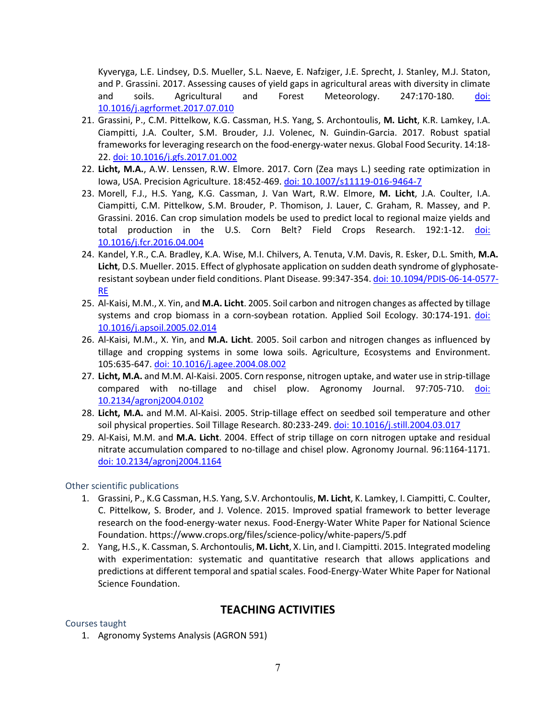Kyveryga, L.E. Lindsey, D.S. Mueller, S.L. Naeve, E. Nafziger, J.E. Sprecht, J. Stanley, M.J. Staton, and P. Grassini. 2017. Assessing causes of yield gaps in agricultural areas with diversity in climate and soils. Agricultural and Forest Meteorology. 247:170-180. [doi:](https://doi.org/10.1016/j.agrformet.2017.07.010)  [10.1016/j.agrformet.2017.07.010](https://doi.org/10.1016/j.agrformet.2017.07.010)

- 21. Grassini, P., C.M. Pittelkow, K.G. Cassman, H.S. Yang, S. Archontoulis, **M. Licht**, K.R. Lamkey, I.A. Ciampitti, J.A. Coulter, S.M. Brouder, J.J. Volenec, N. Guindin-Garcia. 2017*.* Robust spatial frameworks for leveraging research on the food-energy-water nexus. Global Food Security. 14:18- 22. [doi: 10.1016/j.gfs.2017.01.002](https://doi.org/10.1016/j.gfs.2017.01.002)
- 22. **Licht, M.A.**, A.W. Lenssen, R.W. Elmore. 2017. Corn (Zea mays L.) seeding rate optimization in Iowa, USA. Precision Agriculture. 18:452-469. [doi: 10.1007/s11119-016-9464-7](https://doi.org/10.1007/s11119-016-9464-7)
- 23. Morell, F.J., H.S. Yang, K.G. Cassman, J. Van Wart, R.W. Elmore, **M. Licht**, J.A. Coulter, I.A. Ciampitti, C.M. Pittelkow, S.M. Brouder, P. Thomison, J. Lauer, C. Graham, R. Massey, and P. Grassini. 2016. Can crop simulation models be used to predict local to regional maize yields and total production in the U.S. Corn Belt? Field Crops Research. 192:1-12. doi: [10.1016/j.fcr.2016.04.004](https://doi.org/10.1016/j.fcr.2016.04.004)
- 24. Kandel, Y.R., C.A. Bradley, K.A. Wise, M.I. Chilvers, A. Tenuta, V.M. Davis, R. Esker, D.L. Smith, **M.A. Licht**, D.S. Mueller. 2015. Effect of glyphosate application on sudden death syndrome of glyphosateresistant soybean under field conditions. Plant Disease. 99:347-354. [doi: 10.1094/PDIS-06-14-0577-](https://doi.org/10.1094/PDIS-06-14-0577-RE) [RE](https://doi.org/10.1094/PDIS-06-14-0577-RE)
- 25. Al-Kaisi, M.M., X. Yin, and **M.A. Licht**. 2005. Soil carbon and nitrogen changes as affected by tillage systems and crop biomass in a corn-soybean rotation. Applied Soil Ecology. 30:174-191. [doi:](https://doi.org/10.1016/j.apsoil.2005.02.014)  [10.1016/j.apsoil.2005.02.014](https://doi.org/10.1016/j.apsoil.2005.02.014)
- 26. Al-Kaisi, M.M., X. Yin, and **M.A. Licht**. 2005. Soil carbon and nitrogen changes as influenced by tillage and cropping systems in some Iowa soils. Agriculture, Ecosystems and Environment. 105:635-647. [doi: 10.1016/j.agee.2004.08.002](http://dx.doi.org/10.1016/j.agee.2004.08.002)
- 27. **Licht, M.A.** and M.M. Al-Kaisi. 2005. Corn response, nitrogen uptake, and water use in strip-tillage compared with no-tillage and chisel plow. Agronomy Journal. 97:705-710. [doi:](https://acsess.onlinelibrary.wiley.com/doi/abs/10.2134/agronj2004.0102)  [10.2134/agronj2004.0102](https://acsess.onlinelibrary.wiley.com/doi/abs/10.2134/agronj2004.0102)
- 28. **Licht, M.A.** and M.M. Al-Kaisi. 2005. Strip-tillage effect on seedbed soil temperature and other soil physical properties. Soil Tillage Research. 80:233-249[. doi: 10.1016/j.still.2004.03.017](https://doi.org/10.1016/j.still.2004.03.017)
- 29. Al-Kaisi, M.M. and **M.A. Licht**. 2004. Effect of strip tillage on corn nitrogen uptake and residual nitrate accumulation compared to no-tillage and chisel plow. Agronomy Journal. 96:1164-1171. [doi: 10.2134/agronj2004.1164](https://doi.org/10.2134/agronj2004.1164)

### Other scientific publications

- 1. Grassini, P., K.G Cassman, H.S. Yang, S.V. Archontoulis, **M. Licht**, K. Lamkey, I. Ciampitti, C. Coulter, C. Pittelkow, S. Broder, and J. Volence. 2015. Improved spatial framework to better leverage research on the food-energy-water nexus. Food-Energy-Water White Paper for National Science Foundation. https://www.crops.org/files/science-policy/white-papers/5.pdf
- 2. Yang, H.S., K. Cassman, S. Archontoulis, **M. Licht**, X. Lin, and I. Ciampitti. 2015. Integrated modeling with experimentation: systematic and quantitative research that allows applications and predictions at different temporal and spatial scales. Food-Energy-Water White Paper for National Science Foundation.

# **TEACHING ACTIVITIES**

### Courses taught

1. Agronomy Systems Analysis (AGRON 591)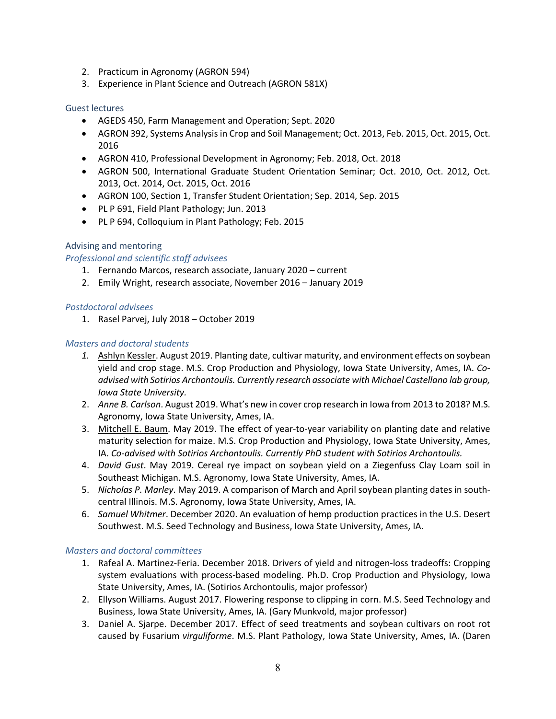- 2. Practicum in Agronomy (AGRON 594)
- 3. Experience in Plant Science and Outreach (AGRON 581X)

#### Guest lectures

- AGEDS 450, Farm Management and Operation; Sept. 2020
- AGRON 392, Systems Analysis in Crop and Soil Management; Oct. 2013, Feb. 2015, Oct. 2015, Oct. 2016
- AGRON 410, Professional Development in Agronomy; Feb. 2018, Oct. 2018
- AGRON 500, International Graduate Student Orientation Seminar; Oct. 2010, Oct. 2012, Oct. 2013, Oct. 2014, Oct. 2015, Oct. 2016
- AGRON 100, Section 1, Transfer Student Orientation; Sep. 2014, Sep. 2015
- PL P 691, Field Plant Pathology; Jun. 2013
- PL P 694, Colloquium in Plant Pathology; Feb. 2015

#### Advising and mentoring

### *Professional and scientific staff advisees*

- 1. Fernando Marcos, research associate, January 2020 current
- 2. Emily Wright, research associate, November 2016 January 2019

#### *Postdoctoral advisees*

1. Rasel Parvej, July 2018 – October 2019

### *Masters and doctoral students*

- *1.* Ashlyn Kessler. August 2019. Planting date, cultivar maturity, and environment effects on soybean yield and crop stage. M.S. Crop Production and Physiology, Iowa State University, Ames, IA. *Coadvised with Sotirios Archontoulis. Currently research associate with Michael Castellano lab group, Iowa State University.*
- 2. *Anne B. Carlson*. August 2019. What's new in cover crop research in Iowa from 2013 to 2018? M.S. Agronomy, Iowa State University, Ames, IA.
- 3. Mitchell E. Baum. May 2019. The effect of year-to-year variability on planting date and relative maturity selection for maize. M.S. Crop Production and Physiology, Iowa State University, Ames, IA. *Co-advised with Sotirios Archontoulis. Currently PhD student with Sotirios Archontoulis.*
- 4. *David Gust*. May 2019. Cereal rye impact on soybean yield on a Ziegenfuss Clay Loam soil in Southeast Michigan. M.S. Agronomy, Iowa State University, Ames, IA.
- 5. *Nicholas P. Marley*. May 2019. A comparison of March and April soybean planting dates in southcentral Illinois. M.S. Agronomy, Iowa State University, Ames, IA.
- 6. *Samuel Whitmer*. December 2020. An evaluation of hemp production practices in the U.S. Desert Southwest. M.S. Seed Technology and Business, Iowa State University, Ames, IA.

#### *Masters and doctoral committees*

- 1. Rafeal A. Martinez-Feria. December 2018. Drivers of yield and nitrogen-loss tradeoffs: Cropping system evaluations with process-based modeling. Ph.D. Crop Production and Physiology, Iowa State University, Ames, IA. (Sotirios Archontoulis, major professor)
- 2. Ellyson Williams. August 2017. Flowering response to clipping in corn. M.S. Seed Technology and Business, Iowa State University, Ames, IA. (Gary Munkvold, major professor)
- 3. Daniel A. Sjarpe. December 2017. Effect of seed treatments and soybean cultivars on root rot caused by Fusarium *virguliforme*. M.S. Plant Pathology, Iowa State University, Ames, IA. (Daren